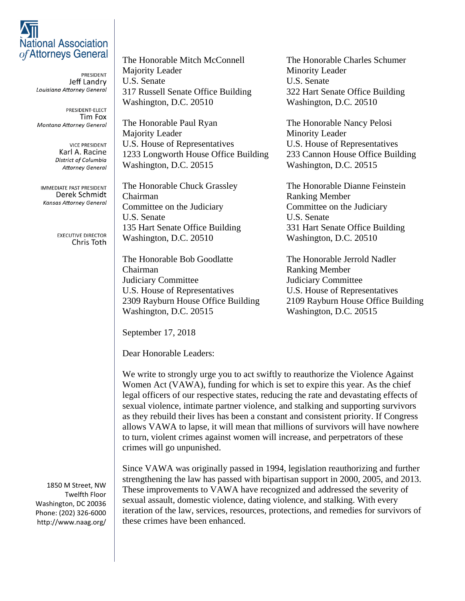## **National Association** of Attorneys General

PRESIDENT Jeff Landry Louisiana Attorney General

PRESIDENT-ELECT Tim Fox **Montana Attorney General** 

> **VICE PRESIDENT** Karl A. Racine District of Columbia **Attorney General**

**IMMEDIATE PAST PRESIDENT** Derek Schmidt **Kansas Attorney General** 

> **EXECUTIVE DIRECTOR** Chris Toth

Majority Leader Minority Leader U.S. Senate U.S. Senate 317 Russell Senate Office Building 322 Hart Senate Office Building Washington, D.C. 20510 Washington, D.C. 20510

The Honorable Paul Ryan The Honorable Nancy Pelosi Majority Leader Minority Leader U.S. House of Representatives U.S. House of Representatives 1233 Longworth House Office Building 233 Cannon House Office Building Washington, D.C. 20515 Washington, D.C. 20515

Chairman Ranking Member Committee on the Judiciary Committee on the Judiciary U.S. Senate U.S. Senate Washington, D.C. 20510 Washington, D.C. 20510

The Honorable Bob Goodlatte The Honorable Jerrold Nadler Chairman Ranking Member Judiciary Committee Judiciary Committee U.S. House of Representatives U.S. House of Representatives Washington, D.C. 20515 Washington, D.C. 20515

The Honorable Mitch McConnell The Honorable Charles Schumer

The Honorable Chuck Grassley The Honorable Dianne Feinstein 135 Hart Senate Office Building 331 Hart Senate Office Building

2309 Rayburn House Office Building 2109 Rayburn House Office Building

September 17, 2018

Dear Honorable Leaders:

We write to strongly urge you to act swiftly to reauthorize the Violence Against Women Act (VAWA), funding for which is set to expire this year. As the chief legal officers of our respective states, reducing the rate and devastating effects of sexual violence, intimate partner violence, and stalking and supporting survivors as they rebuild their lives has been a constant and consistent priority. If Congress allows VAWA to lapse, it will mean that millions of survivors will have nowhere to turn, violent crimes against women will increase, and perpetrators of these crimes will go unpunished.

Since VAWA was originally passed in 1994, legislation reauthorizing and further strengthening the law has passed with bipartisan support in 2000, 2005, and 2013. These improvements to VAWA have recognized and addressed the severity of sexual assault, domestic violence, dating violence, and stalking. With every iteration of the law, services, resources, protections, and remedies for survivors of these crimes have been enhanced.

1850 M Street, NW Twelfth Floor Washington, DC 20036 Phone: (202) 326-6000 http://www.naag.org/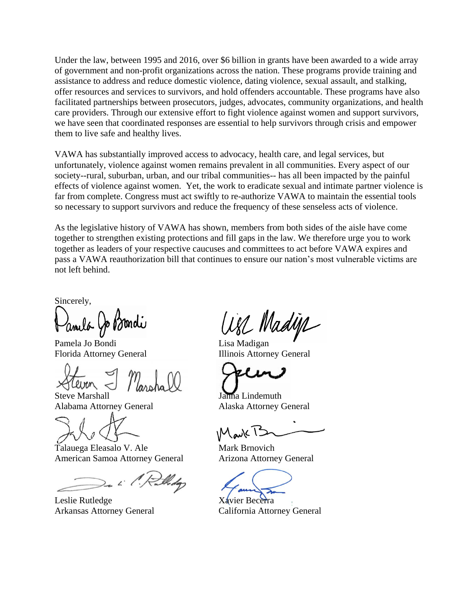Under the law, between 1995 and 2016, over \$6 billion in grants have been awarded to a wide array of government and non-profit organizations across the nation. These programs provide training and assistance to address and reduce domestic violence, dating violence, sexual assault, and stalking, offer resources and services to survivors, and hold offenders accountable. These programs have also facilitated partnerships between prosecutors, judges, advocates, community organizations, and health care providers. Through our extensive effort to fight violence against women and support survivors, we have seen that coordinated responses are essential to help survivors through crisis and empower them to live safe and healthy lives.

VAWA has substantially improved access to advocacy, health care, and legal services, but unfortunately, violence against women remains prevalent in all communities. Every aspect of our society--rural, suburban, urban, and our tribal communities-- has all been impacted by the painful effects of violence against women. Yet, the work to eradicate sexual and intimate partner violence is far from complete. Congress must act swiftly to re-authorize VAWA to maintain the essential tools so necessary to support survivors and reduce the frequency of these senseless acts of violence.

As the legislative history of VAWA has shown, members from both sides of the aisle have come together to strengthen existing protections and fill gaps in the law. We therefore urge you to work together as leaders of your respective caucuses and committees to act before VAWA expires and pass a VAWA reauthorization bill that continues to ensure our nation's most vulnerable victims are not left behind.

Sincerely,

Pamela Jo Bondi Lisa Madigan

Steve Marshall Jahna Lindemuth Alabama Attorney General Alaska Attorney General

Talauega Eleasalo V. Ale Mark Brnovich American Samoa Attorney General Arizona Attorney General

Leslie Rutledge Xavier Becerra

all Madys

Florida Attorney General Illinois Attorney General

Arkansas Attorney General California Attorney General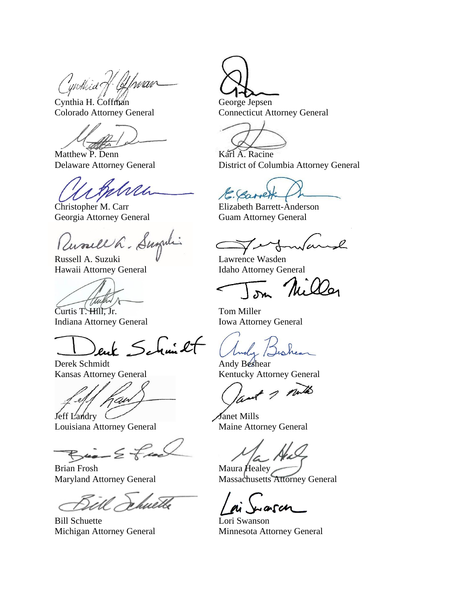Cynthia of Cyfraan

Cynthia H. Coffman George Jepsen<br>
Colorado Attorney General Connecticut At

Matthew P. Denn Karl A. Racine

Georgia Attorney General Guam Attorney General

Russell h. Sugal

Russell A. Suzuki V Lawrence Wasden Hawaii Attorney General Idaho Attorney General

Curtis T. Hill, Jr. Tom Miller Indiana Attorney General Iowa Attorney General

 $\int u \cdot \mathcal{L}$ 

Derek Schmidt Andy Beshear

an Janet Mills

Louisiana Attorney General Maine Attorney General

 $B_{\text{max}} \leq \overline{\chi}$ 

Brian Frosh Maura Healey

huetle

Bill Schuette Lori Swanson

Connecticut Attorney General

Delaware Attorney General District of Columbia Attorney General

Christopher M. Carr Elizabeth Barrett-Anderson

Kansas Attorney General Kentucky Attorney General

putto

Maryland Attorney General Massachusetts Attorney General

Michigan Attorney General Minnesota Attorney General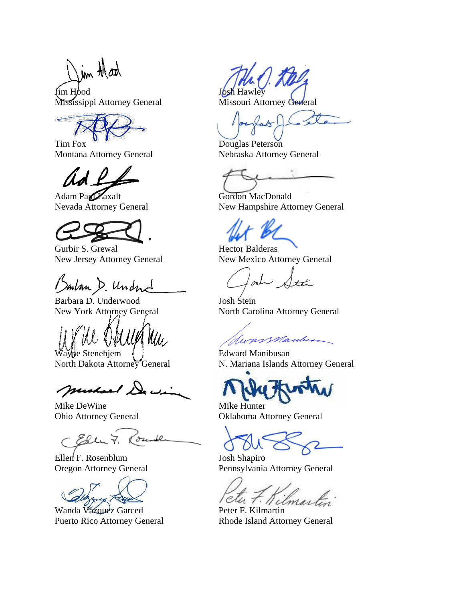im that

**I** Josh Hawley Mississippi Attorney General Missouri Attorney General

Montana Attorney General Nebraska Attorney General

Adam Paul Laxalt Gordon MacDonald

Gurbir S. Grewal **Hector Balderas** 

Barban D. Undne

Barbara D. Underwood Josh Stein<br>New York Attorney General North Care

Wayne Stenehjem ( ) Edward Manibusan

muchael De we

Mike DeWine Mike Hunter

Eller 7, loser

Ellen<sup>{</sup>F. Rosenblum Josh Shapiro<br>Oregon Attorney General Pennsylvania

Wanda Văzquez Garced Peter F. Kilmartin

LA DC Ste

Tim Fox Douglas Peterson

Nevada Attorney General New Hampshire Attorney General

New Jersey Attorney General New Mexico Attorney General

North Carolina Attorney General

Swarssauburn

North Dakota Attorney General N. Mariana Islands Attorney General

Ohio Attorney General Oklahoma Attorney General

Pennsylvania Attorney General

Puerto Rico Attorney General Rhode Island Attorney General